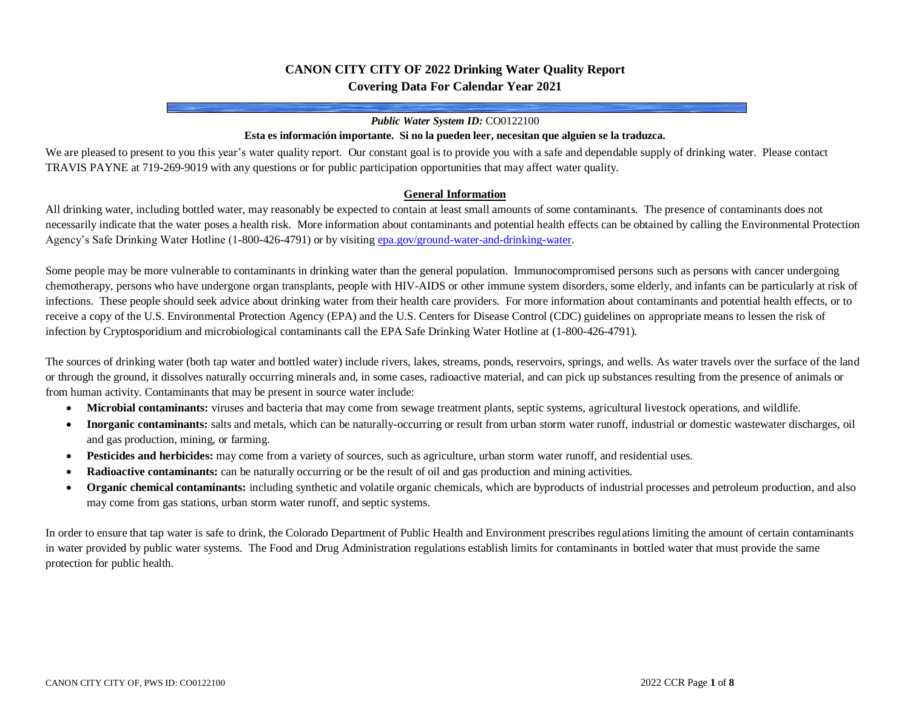# **CANON CITY CITY OF 2022 Drinking Water Quality Report Covering Data For Calendar Year 2021**

#### *Public Water System ID:* CO0122100

#### **Esta es información importante. Si no la pueden leer, necesitan que alguien se la traduzca.**

We are pleased to present to you this year's water quality report. Our constant goal is to provide you with a safe and dependable supply of drinking water. Please contact TRAVIS PAYNE at 719-269-9019 with any questions or for public participation opportunities that may affect water quality.

#### **General Information**

All drinking water, including bottled water, may reasonably be expected to contain at least small amounts of some contaminants. The presence of contaminants does not necessarily indicate that the water poses a health risk. More information about contaminants and potential health effects can be obtained by calling the Environmental Protection Agency's Safe Drinking Water Hotline (1-800-426-4791) or by visitin[g epa.gov/ground-water-and-drinking-water.](https://www.epa.gov/ground-water-and-drinking-water)

Some people may be more vulnerable to contaminants in drinking water than the general population. Immunocompromised persons such as persons with cancer undergoing chemotherapy, persons who have undergone organ transplants, people with HIV-AIDS or other immune system disorders, some elderly, and infants can be particularly at risk of infections. These people should seek advice about drinking water from their health care providers. For more information about contaminants and potential health effects, or to receive a copy of the U.S. Environmental Protection Agency (EPA) and the U.S. Centers for Disease Control (CDC) guidelines on appropriate means to lessen the risk of infection by Cryptosporidium and microbiological contaminants call the EPA Safe Drinking Water Hotline at (1-800-426-4791).

The sources of drinking water (both tap water and bottled water) include rivers, lakes, streams, ponds, reservoirs, springs, and wells. As water travels over the surface of the land or through the ground, it dissolves naturally occurring minerals and, in some cases, radioactive material, and can pick up substances resulting from the presence of animals or from human activity. Contaminants that may be present in source water include:

- **Microbial contaminants:** viruses and bacteria that may come from sewage treatment plants, septic systems, agricultural livestock operations, and wildlife.
- **Inorganic contaminants:** salts and metals, which can be naturally-occurring or result from urban storm water runoff, industrial or domestic wastewater discharges, oil and gas production, mining, or farming.
- **Pesticides and herbicides:** may come from a variety of sources, such as agriculture, urban storm water runoff, and residential uses.
- **Radioactive contaminants:** can be naturally occurring or be the result of oil and gas production and mining activities.
- **Organic chemical contaminants:** including synthetic and volatile organic chemicals, which are byproducts of industrial processes and petroleum production, and also may come from gas stations, urban storm water runoff, and septic systems.

In order to ensure that tap water is safe to drink, the Colorado Department of Public Health and Environment prescribes regulations limiting the amount of certain contaminants in water provided by public water systems. The Food and Drug Administration regulations establish limits for contaminants in bottled water that must provide the same protection for public health.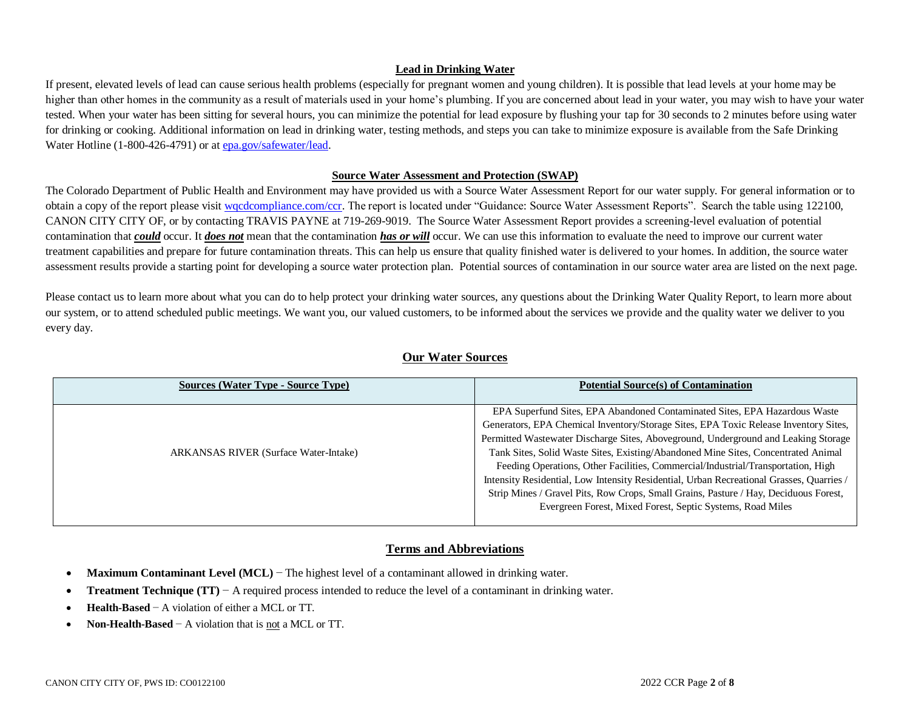### **Lead in Drinking Water**

If present, elevated levels of lead can cause serious health problems (especially for pregnant women and young children). It is possible that lead levels at your home may be higher than other homes in the community as a result of materials used in your home's plumbing. If you are concerned about lead in your water, you may wish to have your water tested. When your water has been sitting for several hours, you can minimize the potential for lead exposure by flushing your tap for 30 seconds to 2 minutes before using water for drinking or cooking. Additional information on lead in drinking water, testing methods, and steps you can take to minimize exposure is available from the Safe Drinking Water Hotline (1-800-426-4791) or at **epa.gov/safewater/lead**.

#### **Source Water Assessment and Protection (SWAP)**

The Colorado Department of Public Health and Environment may have provided us with a Source Water Assessment Report for our water supply. For general information or to obtain a copy of the report please visit wacdcompliance.com/ccr. The report is located under "Guidance: Source Water Assessment Reports". Search the table using 122100, CANON CITY CITY OF, or by contacting TRAVIS PAYNE at 719-269-9019. The Source Water Assessment Report provides a screening-level evaluation of potential contamination that *could* occur. It *does not* mean that the contamination *has or will* occur. We can use this information to evaluate the need to improve our current water treatment capabilities and prepare for future contamination threats. This can help us ensure that quality finished water is delivered to your homes. In addition, the source water assessment results provide a starting point for developing a source water protection plan. Potential sources of contamination in our source water area are listed on the next page.

Please contact us to learn more about what you can do to help protect your drinking water sources, any questions about the Drinking Water Quality Report, to learn more about our system, or to attend scheduled public meetings. We want you, our valued customers, to be informed about the services we provide and the quality water we deliver to you every day.

| <b>Sources (Water Type - Source Type)</b>    | <b>Potential Source(s) of Contamination</b>                                              |
|----------------------------------------------|------------------------------------------------------------------------------------------|
|                                              | EPA Superfund Sites, EPA Abandoned Contaminated Sites, EPA Hazardous Waste               |
|                                              | Generators, EPA Chemical Inventory/Storage Sites, EPA Toxic Release Inventory Sites,     |
|                                              | Permitted Wastewater Discharge Sites, Aboveground, Underground and Leaking Storage       |
| <b>ARKANSAS RIVER (Surface Water-Intake)</b> | Tank Sites, Solid Waste Sites, Existing/Abandoned Mine Sites, Concentrated Animal        |
|                                              | Feeding Operations, Other Facilities, Commercial/Industrial/Transportation, High         |
|                                              | Intensity Residential, Low Intensity Residential, Urban Recreational Grasses, Quarries / |
|                                              | Strip Mines / Gravel Pits, Row Crops, Small Grains, Pasture / Hay, Deciduous Forest,     |
|                                              | Evergreen Forest, Mixed Forest, Septic Systems, Road Miles                               |
|                                              |                                                                                          |

# **Our Water Sources**

# **Terms and Abbreviations**

- **Maximum Contaminant Level (MCL)** − The highest level of a contaminant allowed in drinking water.
- **Treatment Technique (TT)** − A required process intended to reduce the level of a contaminant in drinking water.
- **Health-Based** − A violation of either a MCL or TT.
- **Non-Health-Based** − A violation that is not a MCL or TT.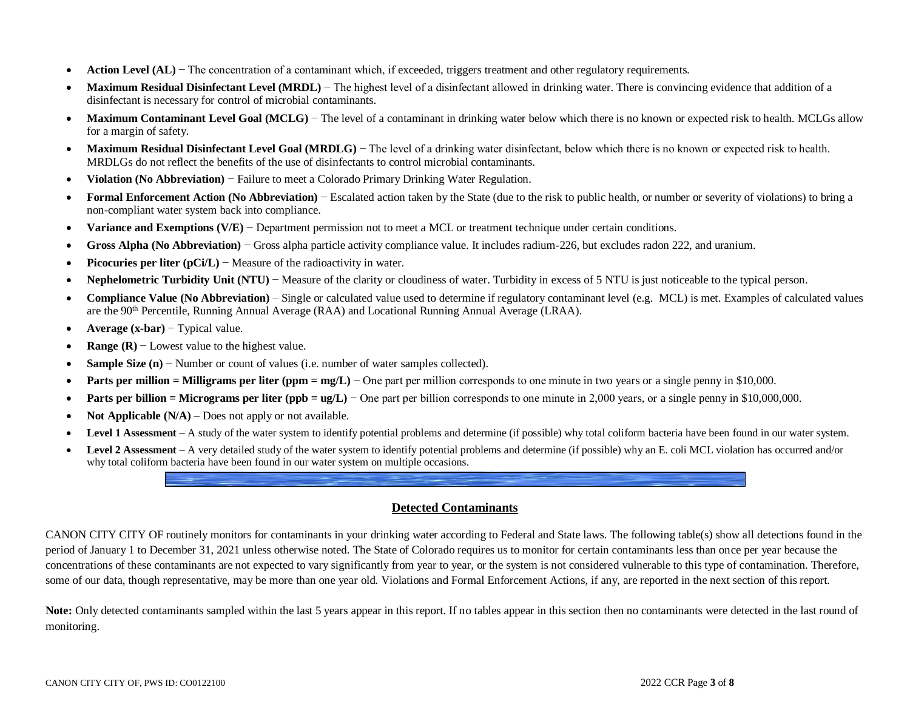- **Action Level (AL)** − The concentration of a contaminant which, if exceeded, triggers treatment and other regulatory requirements.
- **Maximum Residual Disinfectant Level (MRDL)** The highest level of a disinfectant allowed in drinking water. There is convincing evidence that addition of a disinfectant is necessary for control of microbial contaminants.
- Maximum Contaminant Level Goal (MCLG) The level of a contaminant in drinking water below which there is no known or expected risk to health. MCLGs allow for a margin of safety.
- **Maximum Residual Disinfectant Level Goal (MRDLG)** The level of a drinking water disinfectant, below which there is no known or expected risk to health. MRDLGs do not reflect the benefits of the use of disinfectants to control microbial contaminants.
- **Violation (No Abbreviation)** − Failure to meet a Colorado Primary Drinking Water Regulation.
- **Formal Enforcement Action (No Abbreviation)** − Escalated action taken by the State (due to the risk to public health, or number or severity of violations) to bring a non-compliant water system back into compliance.
- **Variance and Exemptions (V/E)** − Department permission not to meet a MCL or treatment technique under certain conditions.
- **Gross Alpha (No Abbreviation)** − Gross alpha particle activity compliance value. It includes radium-226, but excludes radon 222, and uranium.
- **Picocuries per liter (pCi/L)** − Measure of the radioactivity in water.
- **Nephelometric Turbidity Unit (NTU)** − Measure of the clarity or cloudiness of water. Turbidity in excess of 5 NTU is just noticeable to the typical person.
- **Compliance Value (No Abbreviation)** Single or calculated value used to determine if regulatory contaminant level (e.g. MCL) is met. Examples of calculated values are the 90<sup>th</sup> Percentile, Running Annual Average (RAA) and Locational Running Annual Average (LRAA).
- **Average (x-bar)** − Typical value.
- **Range (R)** − Lowest value to the highest value.
- **Sample Size (n)** − Number or count of values (i.e. number of water samples collected).
- **Parts per million = Milligrams per liter (ppm = mg/L)** − One part per million corresponds to one minute in two years or a single penny in \$10,000.
- **Parts per billion = Micrograms per liter (ppb = ug/L)** One part per billion corresponds to one minute in 2,000 years, or a single penny in \$10,000,000.
- **Not Applicable (N/A)** Does not apply or not available.
- Level 1 Assessment A study of the water system to identify potential problems and determine (if possible) why total coliform bacteria have been found in our water system.
- Level 2 Assessment A very detailed study of the water system to identify potential problems and determine (if possible) why an E. coli MCL violation has occurred and/or why total coliform bacteria have been found in our water system on multiple occasions.

# **Detected Contaminants**

CANON CITY CITY OF routinely monitors for contaminants in your drinking water according to Federal and State laws. The following table(s) show all detections found in the period of January 1 to December 31, 2021 unless otherwise noted. The State of Colorado requires us to monitor for certain contaminants less than once per year because the concentrations of these contaminants are not expected to vary significantly from year to year, or the system is not considered vulnerable to this type of contamination. Therefore, some of our data, though representative, may be more than one year old. Violations and Formal Enforcement Actions, if any, are reported in the next section of this report.

Note: Only detected contaminants sampled within the last 5 years appear in this report. If no tables appear in this section then no contaminants were detected in the last round of monitoring.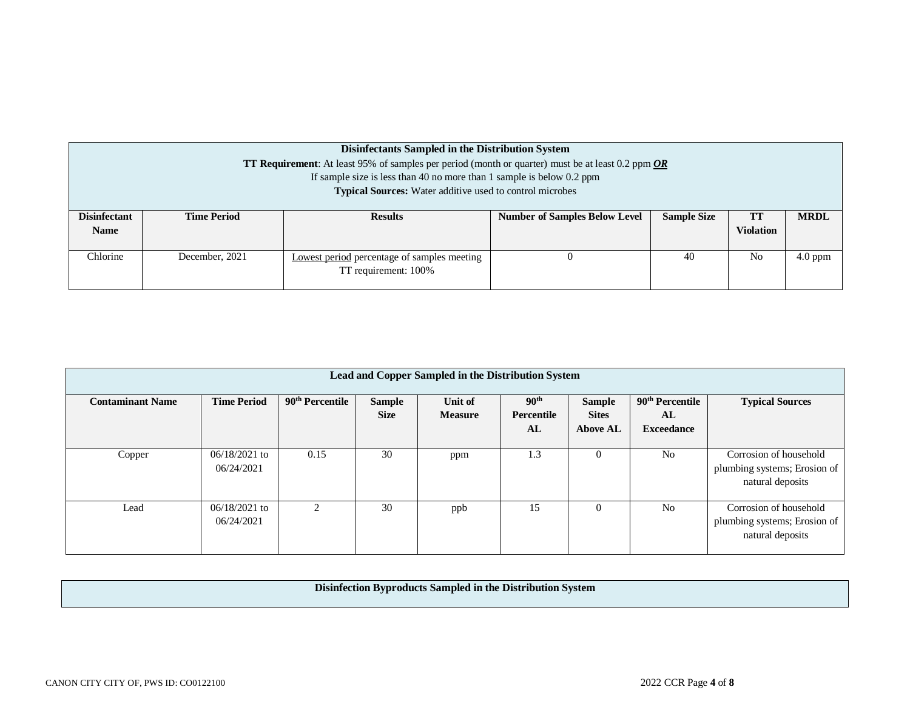|                                    | <b>Disinfectants Sampled in the Distribution System</b><br><b>TT Requirement:</b> At least 95% of samples per period (month or quarter) must be at least 0.2 ppm OR<br>If sample size is less than 40 no more than 1 sample is below $0.2$ ppm<br><b>Typical Sources:</b> Water additive used to control microbes |                |                                      |                    |                        |             |  |  |  |  |
|------------------------------------|-------------------------------------------------------------------------------------------------------------------------------------------------------------------------------------------------------------------------------------------------------------------------------------------------------------------|----------------|--------------------------------------|--------------------|------------------------|-------------|--|--|--|--|
| <b>Disinfectant</b><br><b>Name</b> | <b>Time Period</b>                                                                                                                                                                                                                                                                                                | <b>Results</b> | <b>Number of Samples Below Level</b> | <b>Sample Size</b> | TT<br><b>Violation</b> | <b>MRDL</b> |  |  |  |  |
| Chlorine                           | N <sub>0</sub><br>$4.0$ ppm<br>December, 2021<br>40<br>Lowest period percentage of samples meeting<br>TT requirement: 100%                                                                                                                                                                                        |                |                                      |                    |                        |             |  |  |  |  |

| Lead and Copper Sampled in the Distribution System |                               |                             |                              |                           |                                      |                                                  |                                                        |                                                                            |  |
|----------------------------------------------------|-------------------------------|-----------------------------|------------------------------|---------------------------|--------------------------------------|--------------------------------------------------|--------------------------------------------------------|----------------------------------------------------------------------------|--|
| <b>Contaminant Name</b>                            | <b>Time Period</b>            | 90 <sup>th</sup> Percentile | <b>Sample</b><br><b>Size</b> | Unit of<br><b>Measure</b> | 90 <sup>th</sup><br>Percentile<br>AL | <b>Sample</b><br><b>Sites</b><br><b>Above AL</b> | 90 <sup>th</sup> Percentile<br>AL<br><b>Exceedance</b> | <b>Typical Sources</b>                                                     |  |
| Copper                                             | $06/18/2021$ to<br>06/24/2021 | 0.15                        | 30                           | ppm                       | 1.3                                  | O                                                | N <sub>0</sub>                                         | Corrosion of household<br>plumbing systems; Erosion of<br>natural deposits |  |
| Lead                                               | $06/18/2021$ to<br>06/24/2021 |                             | 30                           | ppb                       | 15                                   |                                                  | N <sub>0</sub>                                         | Corrosion of household<br>plumbing systems; Erosion of<br>natural deposits |  |

# **Disinfection Byproducts Sampled in the Distribution System**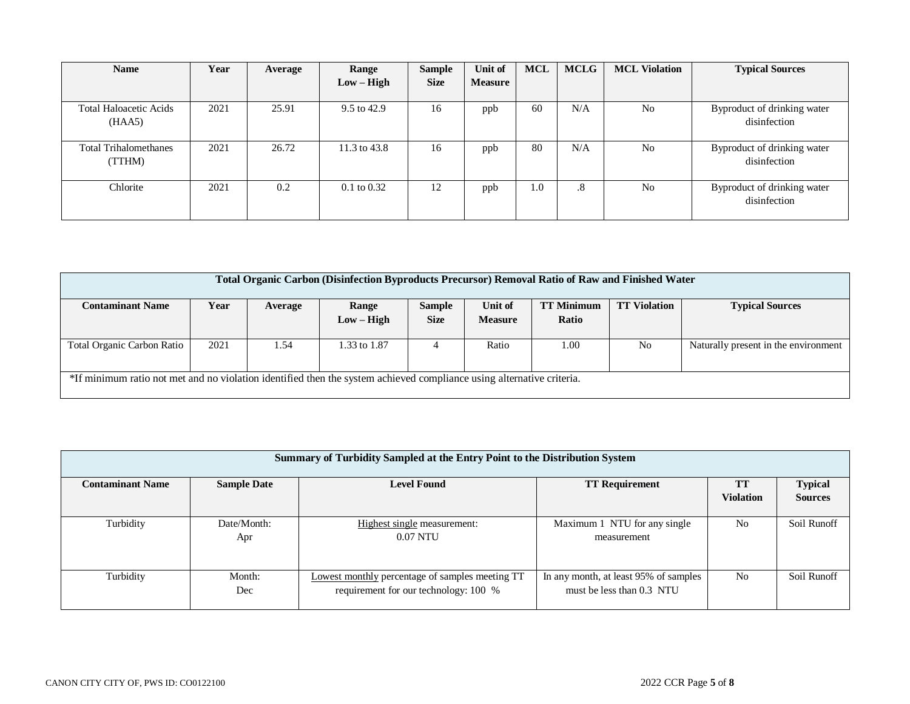| <b>Name</b>                             | Year | Average | Range                  | <b>Sample</b> | <b>Unit of</b> | <b>MCL</b> | <b>MCLG</b> | <b>MCL Violation</b> | <b>Typical Sources</b>                      |
|-----------------------------------------|------|---------|------------------------|---------------|----------------|------------|-------------|----------------------|---------------------------------------------|
|                                         |      |         | $Low - High$           | <b>Size</b>   | <b>Measure</b> |            |             |                      |                                             |
| <b>Total Haloacetic Acids</b><br>(HAA5) | 2021 | 25.91   | 9.5 to 42.9            | 16            | ppb            | 60         | N/A         | N <sub>0</sub>       | Byproduct of drinking water<br>disinfection |
| <b>Total Trihalomethanes</b><br>(TTHM)  | 2021 | 26.72   | 11.3 to 43.8           | 16            | ppb            | 80         | N/A         | N <sub>o</sub>       | Byproduct of drinking water<br>disinfection |
| Chlorite                                | 2021 | 0.2     | $0.1 \text{ to } 0.32$ | 12            | ppb            | 1.0        | $\cdot$ 8   | N <sub>o</sub>       | Byproduct of drinking water<br>disinfection |

| <b>Total Organic Carbon (Disinfection Byproducts Precursor) Removal Ratio of Raw and Finished Water</b>               |      |         |              |               |                |                   |                     |                                      |  |  |
|-----------------------------------------------------------------------------------------------------------------------|------|---------|--------------|---------------|----------------|-------------------|---------------------|--------------------------------------|--|--|
|                                                                                                                       |      |         |              |               |                |                   |                     |                                      |  |  |
| <b>Contaminant Name</b>                                                                                               | Year | Average | Range        | <b>Sample</b> | Unit of        | <b>TT Minimum</b> | <b>TT Violation</b> | <b>Typical Sources</b>               |  |  |
|                                                                                                                       |      |         | $Low - High$ | <b>Size</b>   | <b>Measure</b> | Ratio             |                     |                                      |  |  |
|                                                                                                                       |      |         |              |               |                |                   |                     |                                      |  |  |
| <b>Total Organic Carbon Ratio</b>                                                                                     | 2021 | 1.54    | 1.33 to 1.87 |               | Ratio          | 1.00              | N <sub>o</sub>      | Naturally present in the environment |  |  |
|                                                                                                                       |      |         |              |               |                |                   |                     |                                      |  |  |
| *If minimum ratio not met and no violation identified then the system achieved compliance using alternative criteria. |      |         |              |               |                |                   |                     |                                      |  |  |
|                                                                                                                       |      |         |              |               |                |                   |                     |                                      |  |  |

|                         | Summary of Turbidity Sampled at the Entry Point to the Distribution System |                                                        |                                       |                        |                                  |  |  |  |  |  |  |
|-------------------------|----------------------------------------------------------------------------|--------------------------------------------------------|---------------------------------------|------------------------|----------------------------------|--|--|--|--|--|--|
| <b>Contaminant Name</b> | <b>Sample Date</b>                                                         | <b>Level Found</b>                                     | <b>TT Requirement</b>                 | TT<br><b>Violation</b> | <b>Typical</b><br><b>Sources</b> |  |  |  |  |  |  |
|                         |                                                                            |                                                        |                                       |                        |                                  |  |  |  |  |  |  |
| Turbidity               | Date/Month:                                                                | Highest single measurement:                            | Maximum 1 NTU for any single          | N <sub>0</sub>         | Soil Runoff                      |  |  |  |  |  |  |
|                         | Apr                                                                        | $0.07$ NTU                                             | measurement                           |                        |                                  |  |  |  |  |  |  |
|                         |                                                                            |                                                        |                                       |                        |                                  |  |  |  |  |  |  |
| Turbidity               | Month:                                                                     | <b>Lowest monthly percentage of samples meeting TT</b> | In any month, at least 95% of samples | No                     | Soil Runoff                      |  |  |  |  |  |  |
|                         | Dec                                                                        | requirement for our technology: 100 %                  | must be less than 0.3 NTU             |                        |                                  |  |  |  |  |  |  |
|                         |                                                                            |                                                        |                                       |                        |                                  |  |  |  |  |  |  |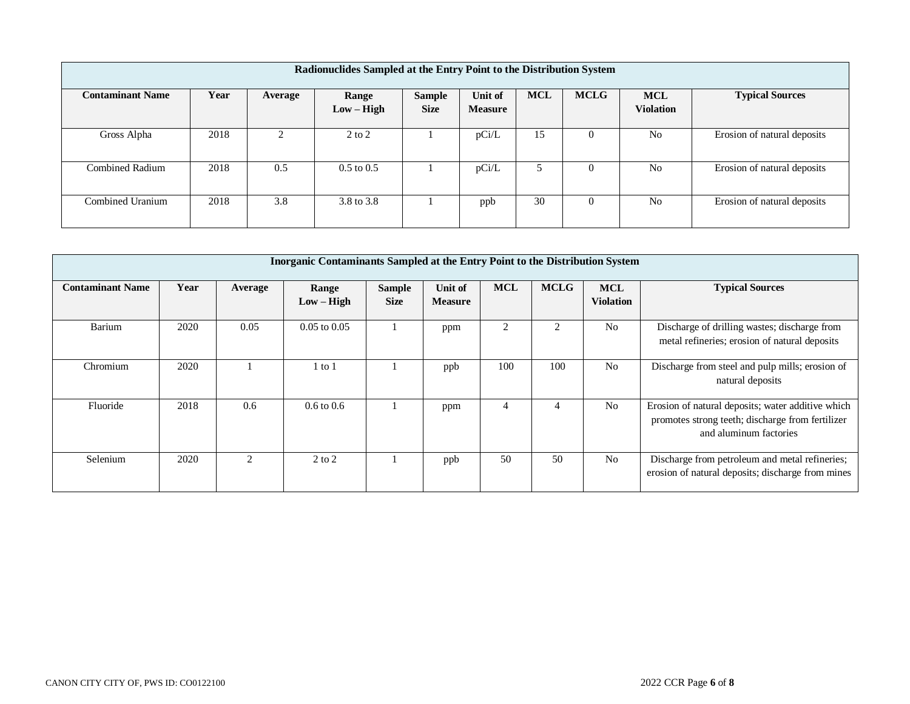| Radionuclides Sampled at the Entry Point to the Distribution System |      |         |                       |                              |                           |            |             |                                |                             |  |
|---------------------------------------------------------------------|------|---------|-----------------------|------------------------------|---------------------------|------------|-------------|--------------------------------|-----------------------------|--|
| <b>Contaminant Name</b>                                             | Year | Average | Range<br>$Low - High$ | <b>Sample</b><br><b>Size</b> | Unit of<br><b>Measure</b> | <b>MCL</b> | <b>MCLG</b> | <b>MCL</b><br><b>Violation</b> | <b>Typical Sources</b>      |  |
| Gross Alpha                                                         | 2018 |         | $2$ to $2$            |                              | pCi/L                     | 15         | $\left($    | N <sub>o</sub>                 | Erosion of natural deposits |  |
| Combined Radium                                                     | 2018 | 0.5     | $0.5$ to $0.5$        |                              | pCi/L                     |            | $\Omega$    | N <sub>o</sub>                 | Erosion of natural deposits |  |
| Combined Uranium                                                    | 2018 | 3.8     | 3.8 to 3.8            |                              | ppb                       | 30         | $\Omega$    | N <sub>0</sub>                 | Erosion of natural deposits |  |

|                         | <b>Inorganic Contaminants Sampled at the Entry Point to the Distribution System</b> |                             |                       |                              |                           |                |             |                                |                                                                                                                                 |  |  |  |
|-------------------------|-------------------------------------------------------------------------------------|-----------------------------|-----------------------|------------------------------|---------------------------|----------------|-------------|--------------------------------|---------------------------------------------------------------------------------------------------------------------------------|--|--|--|
| <b>Contaminant Name</b> | Year                                                                                | Average                     | Range<br>$Low - High$ | <b>Sample</b><br><b>Size</b> | Unit of<br><b>Measure</b> | <b>MCL</b>     | <b>MCLG</b> | <b>MCL</b><br><b>Violation</b> | <b>Typical Sources</b>                                                                                                          |  |  |  |
| <b>Barium</b>           | 2020                                                                                | 0.05                        | $0.05$ to $0.05$      |                              | ppm                       | $\mathfrak{D}$ |             | N <sub>0</sub>                 | Discharge of drilling wastes; discharge from<br>metal refineries; erosion of natural deposits                                   |  |  |  |
| Chromium                | 2020                                                                                |                             | l to 1                |                              | ppb                       | 100            | 100         | N <sub>0</sub>                 | Discharge from steel and pulp mills; erosion of<br>natural deposits                                                             |  |  |  |
| Fluoride                | 2018                                                                                | 0.6                         | $0.6 \text{ to } 0.6$ |                              | ppm                       |                |             | N <sub>o</sub>                 | Erosion of natural deposits; water additive which<br>promotes strong teeth; discharge from fertilizer<br>and aluminum factories |  |  |  |
| Selenium                | 2020                                                                                | $\mathcal{D}_{\mathcal{L}}$ | $2$ to $2$            |                              | ppb                       | 50             | 50          | N <sub>0</sub>                 | Discharge from petroleum and metal refineries;<br>erosion of natural deposits; discharge from mines                             |  |  |  |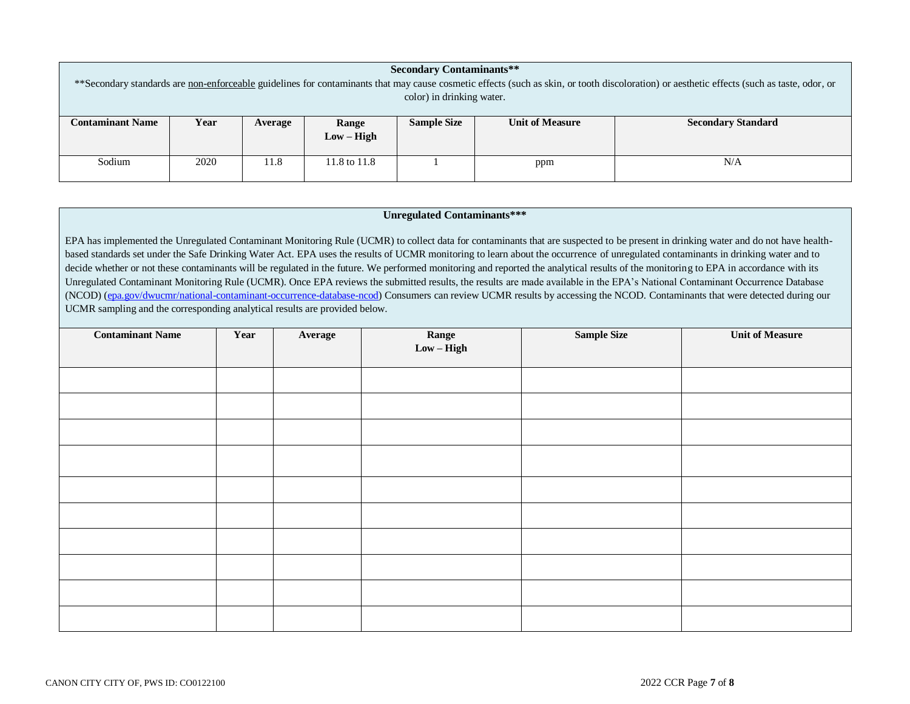| <b>Secondary Contaminants**</b>                                                                                                                                                            |      |         |              |                    |                        |                           |  |  |  |  |  |
|--------------------------------------------------------------------------------------------------------------------------------------------------------------------------------------------|------|---------|--------------|--------------------|------------------------|---------------------------|--|--|--|--|--|
| **Secondary standards are non-enforceable guidelines for contaminants that may cause cosmetic effects (such as skin, or tooth discoloration) or aesthetic effects (such as taste, odor, or |      |         |              |                    |                        |                           |  |  |  |  |  |
| color) in drinking water.                                                                                                                                                                  |      |         |              |                    |                        |                           |  |  |  |  |  |
|                                                                                                                                                                                            |      |         |              |                    |                        |                           |  |  |  |  |  |
| <b>Contaminant Name</b>                                                                                                                                                                    | Year | Average | <b>Range</b> | <b>Sample Size</b> | <b>Unit of Measure</b> | <b>Secondary Standard</b> |  |  |  |  |  |
|                                                                                                                                                                                            |      |         | $Low - High$ |                    |                        |                           |  |  |  |  |  |
|                                                                                                                                                                                            |      |         |              |                    |                        |                           |  |  |  |  |  |
| Sodium                                                                                                                                                                                     | 2020 | 11.8    | 11.8 to 11.8 |                    | ppm                    | N/A                       |  |  |  |  |  |
|                                                                                                                                                                                            |      |         |              |                    |                        |                           |  |  |  |  |  |

#### **Unregulated Contaminants\*\*\***

EPA has implemented the Unregulated Contaminant Monitoring Rule (UCMR) to collect data for contaminants that are suspected to be present in drinking water and do not have healthbased standards set under the Safe Drinking Water Act. EPA uses the results of UCMR monitoring to learn about the occurrence of unregulated contaminants in drinking water and to decide whether or not these contaminants will be regulated in the future. We performed monitoring and reported the analytical results of the monitoring to EPA in accordance with its Unregulated Contaminant Monitoring Rule (UCMR). Once EPA reviews the submitted results, the results are made available in the EPA's National Contaminant Occurrence Database (NCOD) [\(epa.gov/dwucmr/national-contaminant-occurrence-database-ncod\)](http://www.epa.gov/dwucmr/national-contaminant-occurrence-database-ncod) Consumers can review UCMR results by accessing the NCOD. Contaminants that were detected during our UCMR sampling and the corresponding analytical results are provided below.

| <b>Contaminant Name</b> | Year | Average | Range<br>Low – High | <b>Sample Size</b> | <b>Unit of Measure</b> |
|-------------------------|------|---------|---------------------|--------------------|------------------------|
|                         |      |         |                     |                    |                        |
|                         |      |         |                     |                    |                        |
|                         |      |         |                     |                    |                        |
|                         |      |         |                     |                    |                        |
|                         |      |         |                     |                    |                        |
|                         |      |         |                     |                    |                        |
|                         |      |         |                     |                    |                        |
|                         |      |         |                     |                    |                        |
|                         |      |         |                     |                    |                        |
|                         |      |         |                     |                    |                        |
|                         |      |         |                     |                    |                        |
|                         |      |         |                     |                    |                        |
|                         |      |         |                     |                    |                        |